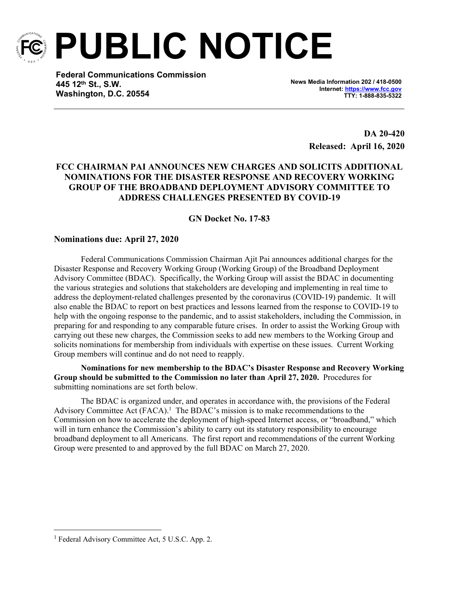

**PUBLIC NOTICE**

**Federal Communications Commission 445 12th St., S.W. Washington, D.C. 20554**

**News Media Information 202 / 418-0500 Internet:<https://www.fcc.gov> TTY: 1-888-835-5322**

> **DA 20-420 Released: April 16, 2020**

## **FCC CHAIRMAN PAI ANNOUNCES NEW CHARGES AND SOLICITS ADDITIONAL NOMINATIONS FOR THE DISASTER RESPONSE AND RECOVERY WORKING GROUP OF THE BROADBAND DEPLOYMENT ADVISORY COMMITTEE TO ADDRESS CHALLENGES PRESENTED BY COVID-19**

## **GN Docket No. 17-83**

## **Nominations due: April 27, 2020**

Federal Communications Commission Chairman Ajit Pai announces additional charges for the Disaster Response and Recovery Working Group (Working Group) of the Broadband Deployment Advisory Committee (BDAC). Specifically, the Working Group will assist the BDAC in documenting the various strategies and solutions that stakeholders are developing and implementing in real time to address the deployment-related challenges presented by the coronavirus (COVID-19) pandemic. It will also enable the BDAC to report on best practices and lessons learned from the response to COVID-19 to help with the ongoing response to the pandemic, and to assist stakeholders, including the Commission, in preparing for and responding to any comparable future crises. In order to assist the Working Group with carrying out these new charges, the Commission seeks to add new members to the Working Group and solicits nominations for membership from individuals with expertise on these issues. Current Working Group members will continue and do not need to reapply.

**Nominations for new membership to the BDAC's Disaster Response and Recovery Working Group should be submitted to the Commission no later than April 27, 2020.** Procedures for submitting nominations are set forth below.

The BDAC is organized under, and operates in accordance with, the provisions of the Federal Advisory Committee Act (FACA).<sup>1</sup> The BDAC's mission is to make recommendations to the Commission on how to accelerate the deployment of high-speed Internet access, or "broadband," which will in turn enhance the Commission's ability to carry out its statutory responsibility to encourage broadband deployment to all Americans. The first report and recommendations of the current Working Group were presented to and approved by the full BDAC on March 27, 2020.

<sup>&</sup>lt;sup>1</sup> Federal Advisory Committee Act, 5 U.S.C. App. 2.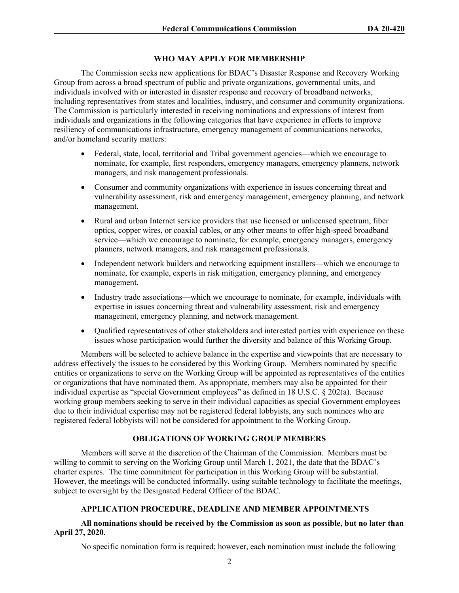#### **WHO MAY APPLY FOR MEMBERSHIP**

The Commission seeks new applications for BDAC's Disaster Response and Recovery Working Group from across a broad spectrum of public and private organizations, governmental units, and individuals involved with or interested in disaster response and recovery of broadband networks, including representatives from states and localities, industry, and consumer and community organizations. The Commission is particularly interested in receiving nominations and expressions of interest from individuals and organizations in the following categories that have experience in efforts to improve resiliency of communications infrastructure, emergency management of communications networks, and/or homeland security matters:

- Federal, state, local, territorial and Tribal government agencies—which we encourage to nominate, for example, first responders, emergency managers, emergency planners, network managers, and risk management professionals.
- Consumer and community organizations with experience in issues concerning threat and vulnerability assessment, risk and emergency management, emergency planning, and network management.
- Rural and urban Internet service providers that use licensed or unlicensed spectrum, fiber optics, copper wires, or coaxial cables, or any other means to offer high-speed broadband service—which we encourage to nominate, for example, emergency managers, emergency planners, network managers, and risk management professionals.
- Independent network builders and networking equipment installers—which we encourage to nominate, for example, experts in risk mitigation, emergency planning, and emergency management.
- Industry trade associations—which we encourage to nominate, for example, individuals with expertise in issues concerning threat and vulnerability assessment, risk and emergency management, emergency planning, and network management.
- Qualified representatives of other stakeholders and interested parties with experience on these issues whose participation would further the diversity and balance of this Working Group.

Members will be selected to achieve balance in the expertise and viewpoints that are necessary to address effectively the issues to be considered by this Working Group. Members nominated by specific entities or organizations to serve on the Working Group will be appointed as representatives of the entities or organizations that have nominated them. As appropriate, members may also be appointed for their individual expertise as "special Government employees" as defined in 18 U.S.C. § 202(a). Because working group members seeking to serve in their individual capacities as special Government employees due to their individual expertise may not be registered federal lobbyists, any such nominees who are registered federal lobbyists will not be considered for appointment to the Working Group.

### **OBLIGATIONS OF WORKING GROUP MEMBERS**

Members will serve at the discretion of the Chairman of the Commission. Members must be willing to commit to serving on the Working Group until March 1, 2021, the date that the BDAC's charter expires. The time commitment for participation in this Working Group will be substantial. However, the meetings will be conducted informally, using suitable technology to facilitate the meetings, subject to oversight by the Designated Federal Officer of the BDAC.

# **APPLICATION PROCEDURE, DEADLINE AND MEMBER APPOINTMENTS**

#### **All nominations should be received by the Commission as soon as possible, but no later than April 27, 2020.**

No specific nomination form is required; however, each nomination must include the following